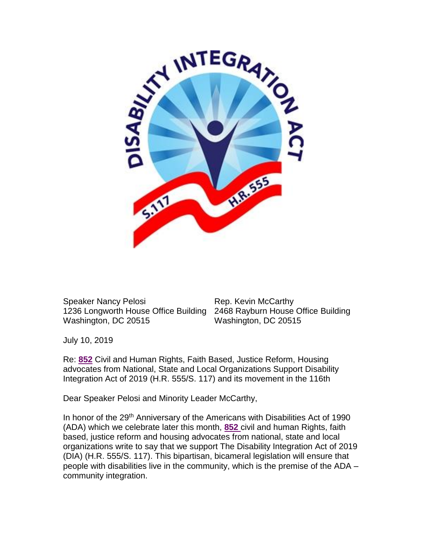

Speaker Nancy Pelosi Rep. Kevin McCarthy 1236 Longworth House Office Building 2468 Rayburn House Office Building Washington, DC 20515 Washington, DC 20515

July 10, 2019

Re: **852** Civil and Human Rights, Faith Based, Justice Reform, Housing advocates from National, State and Local Organizations Support Disability Integration Act of 2019 (H.R. 555/S. 117) and its movement in the 116th

Dear Speaker Pelosi and Minority Leader McCarthy,

In honor of the 29<sup>th</sup> Anniversary of the Americans with Disabilities Act of 1990 (ADA) which we celebrate later this month, **852** civil and human Rights, faith based, justice reform and housing advocates from national, state and local organizations write to say that we support The Disability Integration Act of 2019 (DIA) (H.R. 555/S. 117). This bipartisan, bicameral legislation will ensure that people with disabilities live in the community, which is the premise of the ADA – community integration.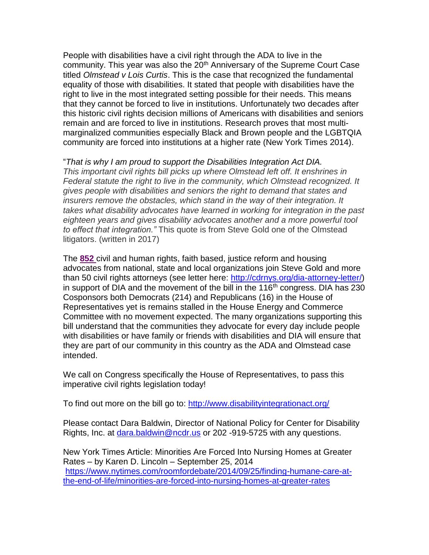People with disabilities have a civil right through the ADA to live in the community. This year was also the 20<sup>th</sup> Anniversary of the Supreme Court Case titled *Olmstead v Lois Curtis*. This is the case that recognized the fundamental equality of those with disabilities. It stated that people with disabilities have the right to live in the most integrated setting possible for their needs. This means that they cannot be forced to live in institutions. Unfortunately two decades after this historic civil rights decision millions of Americans with disabilities and seniors remain and are forced to live in institutions. Research proves that most multimarginalized communities especially Black and Brown people and the LGBTQIA community are forced into institutions at a higher rate (New York Times 2014).

"*That is why I am proud to support the Disabilities Integration Act DIA. This important civil rights bill picks up where Olmstead left off. It enshrines in Federal statute the right to live in the community, which Olmstead recognized. It gives people with disabilities and seniors the right to demand that states and insurers remove the obstacles, which stand in the way of their integration. It takes what disability advocates have learned in working for integration in the past eighteen years and gives disability advocates another and a more powerful tool to effect that integration."* This quote is from Steve Gold one of the Olmstead litigators. (written in 2017)

The **852** civil and human rights, faith based, justice reform and housing advocates from national, state and local organizations join Steve Gold and more than 50 civil rights attorneys (see letter here: [http://cdrnys.org/dia-attorney-letter/\)](http://cdrnys.org/dia-attorney-letter/) in support of DIA and the movement of the bill in the  $116<sup>th</sup>$  congress. DIA has 230 Cosponsors both Democrats (214) and Republicans (16) in the House of Representatives yet is remains stalled in the House Energy and Commerce Committee with no movement expected. The many organizations supporting this bill understand that the communities they advocate for every day include people with disabilities or have family or friends with disabilities and DIA will ensure that they are part of our community in this country as the ADA and Olmstead case intended.

We call on Congress specifically the House of Representatives, to pass this imperative civil rights legislation today!

To find out more on the bill go to:<http://www.disabilityintegrationact.org/>

Please contact Dara Baldwin, Director of National Policy for Center for Disability Rights, Inc. at [dara.baldwin@ncdr.us](mailto:dara.baldwin@ncdr.us) or 202 -919-5725 with any questions.

New York Times Article: Minorities Are Forced Into Nursing Homes at Greater Rates – by Karen D. Lincoln – September 25, 2014 [https://www.nytimes.com/roomfordebate/2014/09/25/finding-humane-care-at](https://www.nytimes.com/roomfordebate/2014/09/25/finding-humane-care-at-the-end-of-life/minorities-are-forced-into-nursing-homes-at-greater-rates)[the-end-of-life/minorities-are-forced-into-nursing-homes-at-greater-rates](https://www.nytimes.com/roomfordebate/2014/09/25/finding-humane-care-at-the-end-of-life/minorities-are-forced-into-nursing-homes-at-greater-rates)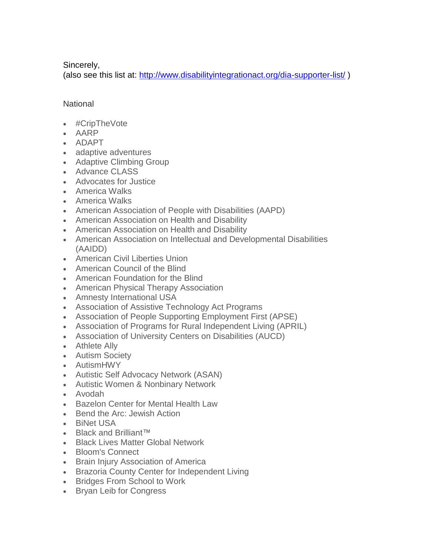Sincerely,

(also see this list at:<http://www.disabilityintegrationact.org/dia-supporter-list/> )

# **National**

- #CripTheVote
- AARP
- ADAPT
- adaptive adventures
- Adaptive Climbing Group
- Advance CLASS
- Advocates for Justice
- America Walks
- America Walks
- American Association of People with Disabilities (AAPD)
- American Association on Health and Disability
- American Association on Health and Disability
- American Association on Intellectual and Developmental Disabilities (AAIDD)
- American Civil Liberties Union
- American Council of the Blind
- American Foundation for the Blind
- American Physical Therapy Association
- Amnesty International USA
- Association of Assistive Technology Act Programs
- Association of People Supporting Employment First (APSE)
- Association of Programs for Rural Independent Living (APRIL)
- Association of University Centers on Disabilities (AUCD)
- Athlete Ally
- Autism Society
- AutismHWY
- Autistic Self Advocacy Network (ASAN)
- Autistic Women & Nonbinary Network
- Avodah
- Bazelon Center for Mental Health Law
- Bend the Arc: Jewish Action
- BiNet USA
- Black and Brilliant™
- Black Lives Matter Global Network
- Bloom's Connect
- Brain Injury Association of America
- Brazoria County Center for Independent Living
- Bridges From School to Work
- Bryan Leib for Congress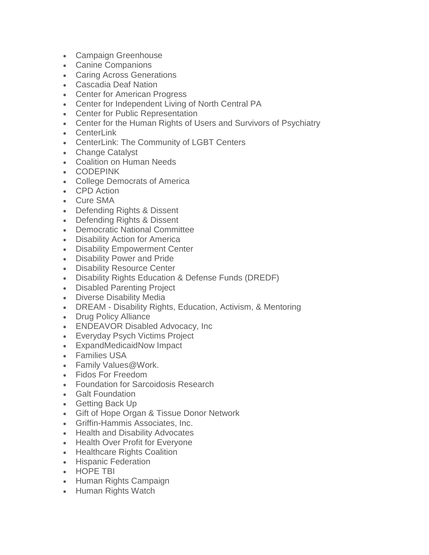- Campaign Greenhouse
- Canine Companions
- Caring Across Generations
- Cascadia Deaf Nation
- Center for American Progress
- Center for Independent Living of North Central PA
- Center for Public Representation
- Center for the Human Rights of Users and Survivors of Psychiatry
- Centerl ink
- CenterLink: The Community of LGBT Centers
- Change Catalyst
- Coalition on Human Needs
- CODEPINK
- College Democrats of America
- CPD Action
- Cure SMA
- Defending Rights & Dissent
- Defending Rights & Dissent
- Democratic National Committee
- Disability Action for America
- Disability Empowerment Center
- Disability Power and Pride
- Disability Resource Center
- Disability Rights Education & Defense Funds (DREDF)
- Disabled Parenting Project
- Diverse Disability Media
- DREAM Disability Rights, Education, Activism, & Mentoring
- Drug Policy Alliance
- ENDEAVOR Disabled Advocacy, Inc
- Everyday Psych Victims Project
- ExpandMedicaidNow Impact
- Families USA
- Family Values@Work.
- Fidos For Freedom
- Foundation for Sarcoidosis Research
- Galt Foundation
- Getting Back Up
- Gift of Hope Organ & Tissue Donor Network
- Griffin-Hammis Associates, Inc.
- Health and Disability Advocates
- Health Over Profit for Everyone
- Healthcare Rights Coalition
- Hispanic Federation
- HOPE TBI
- Human Rights Campaign
- Human Rights Watch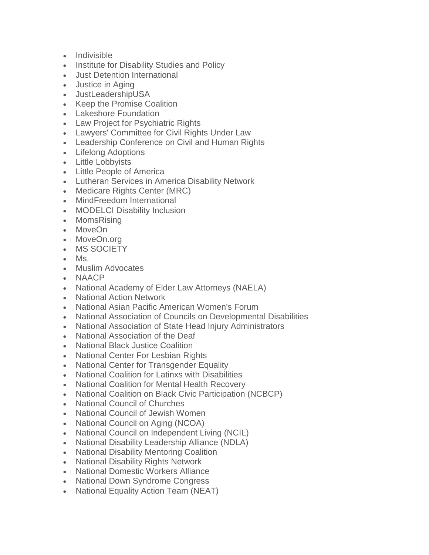- Indivisible
- Institute for Disability Studies and Policy
- Just Detention International
- Justice in Aging
- JustLeadershipUSA
- Keep the Promise Coalition
- Lakeshore Foundation
- Law Project for Psychiatric Rights
- Lawyers' Committee for Civil Rights Under Law
- Leadership Conference on Civil and Human Rights
- Lifelong Adoptions
- Little Lobbyists
- Little People of America
- Lutheran Services in America Disability Network
- Medicare Rights Center (MRC)
- MindFreedom International
- MODELCI Disability Inclusion
- MomsRising
- MoveOn
- MoveOn.org
- MS SOCIETY
- Ms.
- Muslim Advocates
- NAACP
- National Academy of Elder Law Attorneys (NAELA)
- National Action Network
- National Asian Pacific American Women's Forum
- National Association of Councils on Developmental Disabilities
- National Association of State Head Injury Administrators
- National Association of the Deaf
- National Black Justice Coalition
- National Center For Lesbian Rights
- National Center for Transgender Equality
- National Coalition for Latinxs with Disabilities
- National Coalition for Mental Health Recovery
- National Coalition on Black Civic Participation (NCBCP)
- National Council of Churches
- National Council of Jewish Women
- National Council on Aging (NCOA)
- National Council on Independent Living (NCIL)
- National Disability Leadership Alliance (NDLA)
- National Disability Mentoring Coalition
- National Disability Rights Network
- National Domestic Workers Alliance
- National Down Syndrome Congress
- National Equality Action Team (NEAT)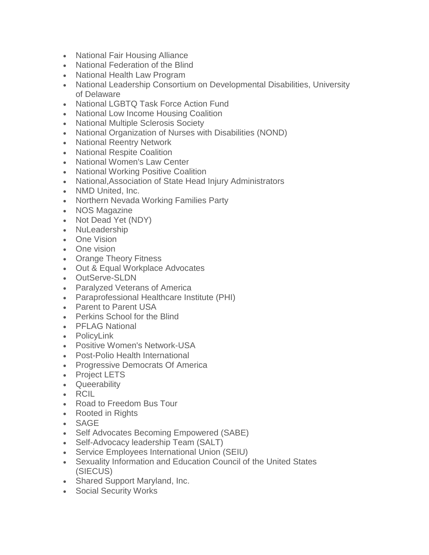- National Fair Housing Alliance
- National Federation of the Blind
- National Health Law Program
- National Leadership Consortium on Developmental Disabilities, University of Delaware
- National LGBTQ Task Force Action Fund
- National Low Income Housing Coalition
- National Multiple Sclerosis Society
- National Organization of Nurses with Disabilities (NOND)
- National Reentry Network
- National Respite Coalition
- National Women's Law Center
- National Working Positive Coalition
- National,Association of State Head Injury Administrators
- NMD United, Inc.
- Northern Nevada Working Families Party
- NOS Magazine
- Not Dead Yet (NDY)
- NuLeadership
- One Vision
- One vision
- Orange Theory Fitness
- Out & Equal Workplace Advocates
- OutServe-SLDN
- Paralyzed Veterans of America
- Paraprofessional Healthcare Institute (PHI)
- Parent to Parent USA
- Perkins School for the Blind
- PFLAG National
- PolicyLink
- Positive Women's Network-USA
- Post-Polio Health International
- Progressive Democrats Of America
- Project LETS
- Queerability
- RCIL
- Road to Freedom Bus Tour
- Rooted in Rights
- SAGE
- Self Advocates Becoming Empowered (SABE)
- Self-Advocacy leadership Team (SALT)
- Service Employees International Union (SEIU)
- Sexuality Information and Education Council of the United States (SIECUS)
- Shared Support Maryland, Inc.
- Social Security Works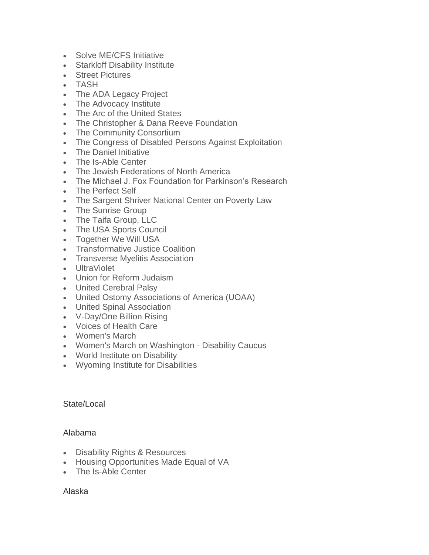- Solve ME/CFS Initiative
- Starkloff Disability Institute
- Street Pictures
- TASH
- The ADA Legacy Project
- The Advocacy Institute
- The Arc of the United States
- The Christopher & Dana Reeve Foundation
- The Community Consortium
- The Congress of Disabled Persons Against Exploitation
- The Daniel Initiative
- The Is-Able Center
- The Jewish Federations of North America
- The Michael J. Fox Foundation for Parkinson's Research
- The Perfect Self
- The Sargent Shriver National Center on Poverty Law
- The Sunrise Group
- The Taifa Group, LLC
- The USA Sports Council
- Together We Will USA
- Transformative Justice Coalition
- Transverse Myelitis Association
- UltraViolet
- Union for Reform Judaism
- United Cerebral Palsy
- United Ostomy Associations of America (UOAA)
- United Spinal Association
- V-Day/One Billion Rising
- Voices of Health Care
- Women's March
- Women's March on Washington Disability Caucus
- World Institute on Disability
- Wyoming Institute for Disabilities

### State/Local

### Alabama

- Disability Rights & Resources
- Housing Opportunities Made Equal of VA
- The Is-Able Center

### Alaska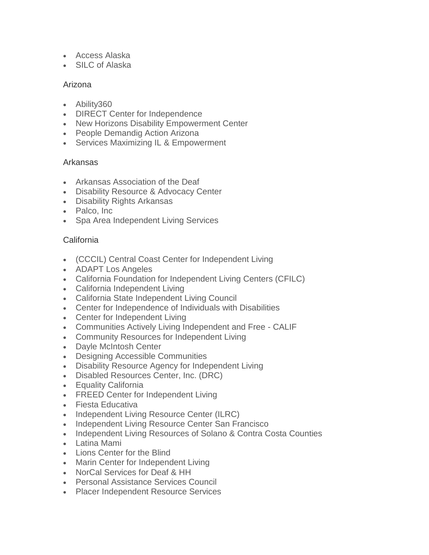- Access Alaska
- SILC of Alaska

## Arizona

- Ability360
- DIRECT Center for Independence
- New Horizons Disability Empowerment Center
- People Demandig Action Arizona
- Services Maximizing IL & Empowerment

## Arkansas

- Arkansas Association of the Deaf
- Disability Resource & Advocacy Center
- Disability Rights Arkansas
- Palco, Inc
- Spa Area Independent Living Services

## **California**

- (CCCIL) Central Coast Center for Independent Living
- ADAPT Los Angeles
- California Foundation for Independent Living Centers (CFILC)
- California Independent Living
- California State Independent Living Council
- Center for Independence of Individuals with Disabilities
- Center for Independent Living
- Communities Actively Living Independent and Free CALIF
- Community Resources for Independent Living
- Dayle McIntosh Center
- Designing Accessible Communities
- Disability Resource Agency for Independent Living
- Disabled Resources Center, Inc. (DRC)
- Equality California
- FREED Center for Independent Living
- Fiesta Educativa
- Independent Living Resource Center (ILRC)
- Independent Living Resource Center San Francisco
- Independent Living Resources of Solano & Contra Costa Counties
- Latina Mami
- Lions Center for the Blind
- Marin Center for Independent Living
- NorCal Services for Deaf & HH
- Personal Assistance Services Council
- Placer Independent Resource Services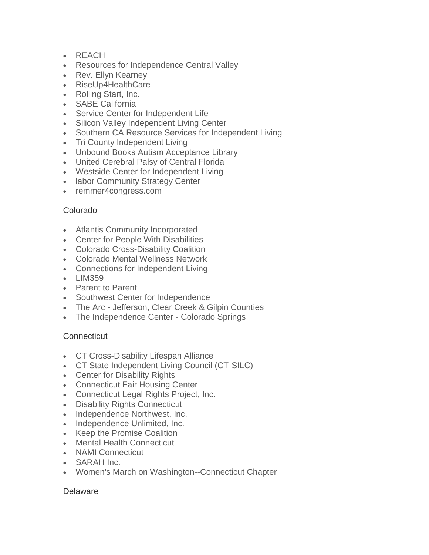- REACH
- Resources for Independence Central Valley
- Rev. Ellyn Kearney
- RiseUp4HealthCare
- Rolling Start, Inc.
- SABE California
- Service Center for Independent Life
- Silicon Valley Independent Living Center
- Southern CA Resource Services for Independent Living
- Tri County Independent Living
- Unbound Books Autism Acceptance Library
- United Cerebral Palsy of Central Florida
- Westside Center for Independent Living
- labor Community Strategy Center
- remmer4congress.com

### Colorado

- Atlantis Community Incorporated
- Center for People With Disabilities
- Colorado Cross-Disability Coalition
- Colorado Mental Wellness Network
- Connections for Independent Living
- LIM359
- Parent to Parent
- Southwest Center for Independence
- The Arc Jefferson, Clear Creek & Gilpin Counties
- The Independence Center Colorado Springs

# **Connecticut**

- CT Cross-Disability Lifespan Alliance
- CT State Independent Living Council (CT-SILC)
- Center for Disability Rights
- Connecticut Fair Housing Center
- Connecticut Legal Rights Project, Inc.
- Disability Rights Connecticut
- Independence Northwest, Inc.
- Independence Unlimited, Inc.
- Keep the Promise Coalition
- Mental Health Connecticut
- NAMI Connecticut
- SARAH Inc.
- Women's March on Washington--Connecticut Chapter

### Delaware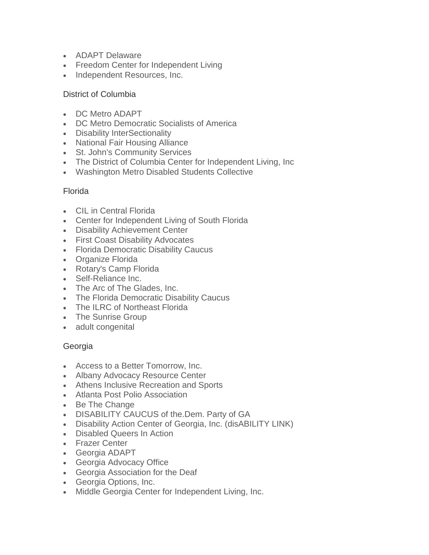- ADAPT Delaware
- Freedom Center for Independent Living
- Independent Resources, Inc.

## District of Columbia

- DC Metro ADAPT
- DC Metro Democratic Socialists of America
- Disability InterSectionality
- National Fair Housing Alliance
- St. John's Community Services
- The District of Columbia Center for Independent Living, Inc
- Washington Metro Disabled Students Collective

## Florida

- CIL in Central Florida
- Center for Independent Living of South Florida
- Disability Achievement Center
- First Coast Disability Advocates
- Florida Democratic Disability Caucus
- Organize Florida
- Rotary's Camp Florida
- Self-Reliance Inc.
- The Arc of The Glades, Inc.
- The Florida Democratic Disability Caucus
- The ILRC of Northeast Florida
- The Sunrise Group
- adult congenital

# **Georgia**

- Access to a Better Tomorrow, Inc.
- Albany Advocacy Resource Center
- Athens Inclusive Recreation and Sports
- Atlanta Post Polio Association
- Be The Change
- DISABILITY CAUCUS of the.Dem. Party of GA
- Disability Action Center of Georgia, Inc. (disABILITY LINK)
- Disabled Queers In Action
- Frazer Center
- Georgia ADAPT
- Georgia Advocacy Office
- Georgia Association for the Deaf
- Georgia Options, Inc.
- Middle Georgia Center for Independent Living, Inc.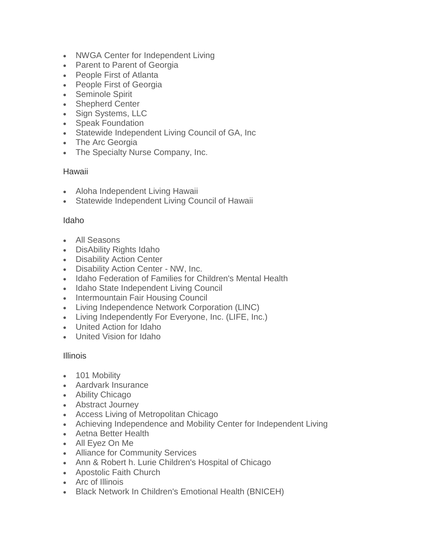- NWGA Center for Independent Living
- Parent to Parent of Georgia
- People First of Atlanta
- People First of Georgia
- Seminole Spirit
- Shepherd Center
- Sign Systems, LLC
- Speak Foundation
- Statewide Independent Living Council of GA, Inc
- The Arc Georgia
- The Specialty Nurse Company, Inc.

## Hawaii

- Aloha Independent Living Hawaii
- Statewide Independent Living Council of Hawaii

### Idaho

- All Seasons
- DisAbility Rights Idaho
- Disability Action Center
- Disability Action Center NW, Inc.
- Idaho Federation of Families for Children's Mental Health
- Idaho State Independent Living Council
- Intermountain Fair Housing Council
- Living Independence Network Corporation (LINC)
- Living Independently For Everyone, Inc. (LIFE, Inc.)
- United Action for Idaho
- United Vision for Idaho

### Illinois

- 101 Mobility
- Aardvark Insurance
- Ability Chicago
- Abstract Journey
- Access Living of Metropolitan Chicago
- Achieving Independence and Mobility Center for Independent Living
- Aetna Better Health
- All Eyez On Me
- Alliance for Community Services
- Ann & Robert h. Lurie Children's Hospital of Chicago
- Apostolic Faith Church
- Arc of Illinois
- Black Network In Children's Emotional Health (BNICEH)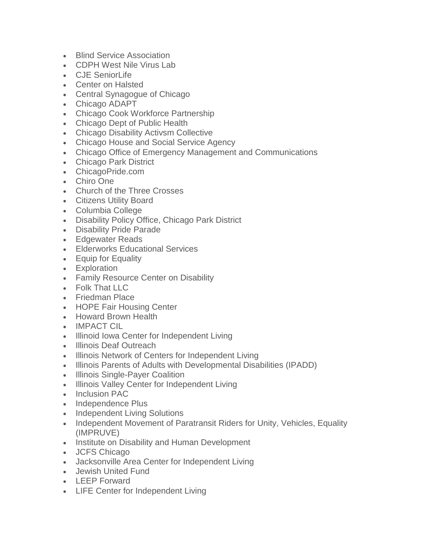- Blind Service Association
- CDPH West Nile Virus Lab
- CJE SeniorLife
- Center on Halsted
- Central Synagogue of Chicago
- Chicago ADAPT
- Chicago Cook Workforce Partnership
- Chicago Dept of Public Health
- Chicago Disability Activsm Collective
- Chicago House and Social Service Agency
- Chicago Office of Emergency Management and Communications
- Chicago Park District
- ChicagoPride.com
- Chiro One
- Church of the Three Crosses
- Citizens Utility Board
- Columbia College
- Disability Policy Office, Chicago Park District
- Disability Pride Parade
- Edgewater Reads
- Elderworks Educational Services
- Equip for Equality
- Exploration
- Family Resource Center on Disability
- Folk That LLC
- Friedman Place
- HOPE Fair Housing Center
- Howard Brown Health
- IMPACT CIL
- Illinoid Iowa Center for Independent Living
- Illinois Deaf Outreach
- Illinois Network of Centers for Independent Living
- Illinois Parents of Adults with Developmental Disabilities (IPADD)
- Illinois Single-Payer Coalition
- Illinois Valley Center for Independent Living
- Inclusion PAC
- Independence Plus
- Independent Living Solutions
- Independent Movement of Paratransit Riders for Unity, Vehicles, Equality (IMPRUVE)
- Institute on Disability and Human Development
- JCFS Chicago
- Jacksonville Area Center for Independent Living
- Jewish United Fund
- LEEP Forward
- LIFE Center for Independent Living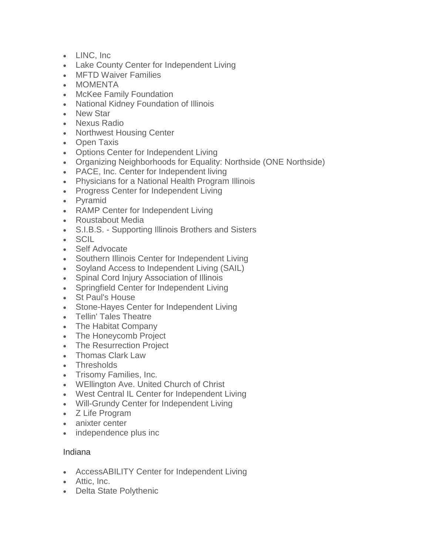- LINC, Inc
- Lake County Center for Independent Living
- MFTD Waiver Families
- MOMENTA
- McKee Family Foundation
- National Kidney Foundation of Illinois
- New Star
- Nexus Radio
- Northwest Housing Center
- Open Taxis
- Options Center for Independent Living
- Organizing Neighborhoods for Equality: Northside (ONE Northside)
- PACE, Inc. Center for Independent living
- Physicians for a National Health Program Illinois
- Progress Center for Independent Living
- Pyramid
- RAMP Center for Independent Living
- Roustabout Media
- S.I.B.S. Supporting Illinois Brothers and Sisters
- SCIL
- Self Advocate
- Southern Illinois Center for Independent Living
- Soyland Access to Independent Living (SAIL)
- Spinal Cord Injury Association of Illinois
- Springfield Center for Independent Living
- St Paul's House
- Stone-Hayes Center for Independent Living
- Tellin' Tales Theatre
- The Habitat Company
- The Honeycomb Project
- The Resurrection Project
- Thomas Clark Law
- Thresholds
- Trisomy Families, Inc.
- WEllington Ave. United Church of Christ
- West Central IL Center for Independent Living
- Will-Grundy Center for Independent Living
- Z Life Program
- anixter center
- independence plus inc

### Indiana

- AccessABILITY Center for Independent Living
- Attic, Inc.
- Delta State Polythenic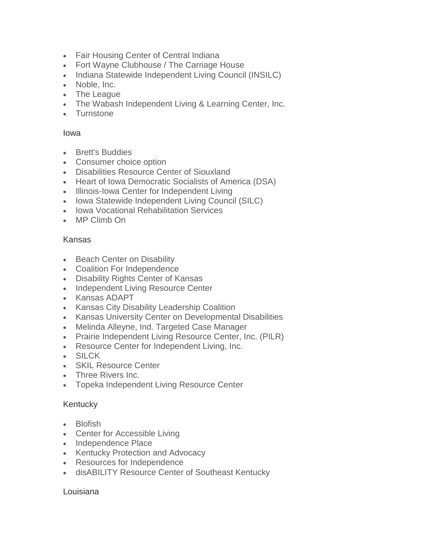- Fair Housing Center of Central Indiana
- Fort Wayne Clubhouse / The Carriage House
- Indiana Statewide Independent Living Council (INSILC)
- Noble, Inc.
- The League
- The Wabash Independent Living & Learning Center, Inc.
- Turnstone

#### Iowa

- Brett's Buddies
- Consumer choice option
- Disabilities Resource Center of Siouxland
- Heart of Iowa Democratic Socialists of America (DSA)
- Illinois-Iowa Center for Independent Living
- Iowa Statewide Independent Living Council (SILC)
- Iowa Vocational Rehabilitation Services
- MP Climb On

### Kansas

- Beach Center on Disability
- Coalition For Independence
- Disability Rights Center of Kansas
- Independent Living Resource Center
- Kansas ADAPT
- Kansas City Disability Leadership Coalition
- Kansas University Center on Developmental Disabilities
- Melinda Alleyne, Ind. Targeted Case Manager
- Prairie Independent Living Resource Center, Inc. (PILR)
- Resource Center for Independent Living, Inc.
- SILCK
- SKIL Resource Center
- Three Rivers Inc.
- Topeka Independent Living Resource Center

### Kentucky

- Blofish
- Center for Accessible Living
- Independence Place
- Kentucky Protection and Advocacy
- Resources for Independence
- disABILITY Resource Center of Southeast Kentucky

### Louisiana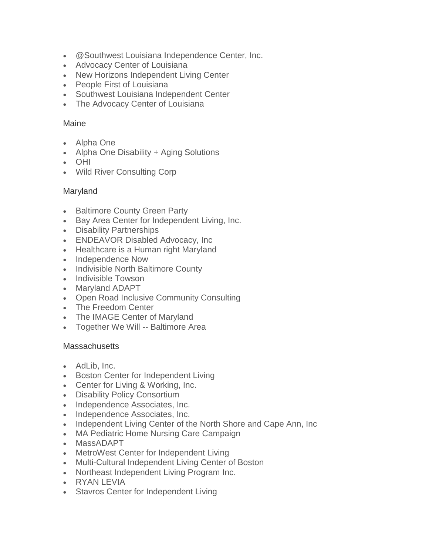- @Southwest Louisiana Independence Center, Inc.
- Advocacy Center of Louisiana
- New Horizons Independent Living Center
- People First of Louisiana
- Southwest Louisiana Independent Center
- The Advocacy Center of Louisiana

## Maine

- Alpha One
- Alpha One Disability + Aging Solutions
- OHI
- Wild River Consulting Corp

## Maryland

- Baltimore County Green Party
- Bay Area Center for Independent Living, Inc.
- Disability Partnerships
- ENDEAVOR Disabled Advocacy, Inc
- Healthcare is a Human right Maryland
- Independence Now
- Indivisible North Baltimore County
- Indivisible Towson
- Maryland ADAPT
- Open Road Inclusive Community Consulting
- The Freedom Center
- The IMAGE Center of Maryland
- Together We Will -- Baltimore Area

### **Massachusetts**

- AdLib, Inc.
- Boston Center for Independent Living
- Center for Living & Working, Inc.
- Disability Policy Consortium
- Independence Associates, Inc.
- Independence Associates, Inc.
- Independent Living Center of the North Shore and Cape Ann, Inc
- MA Pediatric Home Nursing Care Campaign
- MassADAPT
- MetroWest Center for Independent Living
- Multi-Cultural Independent Living Center of Boston
- Northeast Independent Living Program Inc.
- RYAN LEVIA
- Stavros Center for Independent Living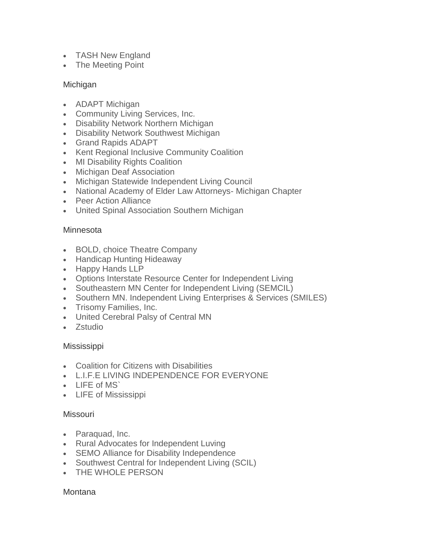- TASH New England
- The Meeting Point

### Michigan

- ADAPT Michigan
- Community Living Services, Inc.
- Disability Network Northern Michigan
- Disability Network Southwest Michigan
- Grand Rapids ADAPT
- Kent Regional Inclusive Community Coalition
- MI Disability Rights Coalition
- Michigan Deaf Association
- Michigan Statewide Independent Living Council
- National Academy of Elder Law Attorneys- Michigan Chapter
- Peer Action Alliance
- United Spinal Association Southern Michigan

## **Minnesota**

- BOLD, choice Theatre Company
- Handicap Hunting Hideaway
- Happy Hands LLP
- Options Interstate Resource Center for Independent Living
- Southeastern MN Center for Independent Living (SEMCIL)
- Southern MN. Independent Living Enterprises & Services (SMILES)
- Trisomy Families, Inc.
- United Cerebral Palsy of Central MN
- Zstudio

### **Mississippi**

- Coalition for Citizens with Disabilities
- L.I.F.E LIVING INDEPENDENCE FOR EVERYONE
- **LIFF of MS**
- LIFE of Mississippi

### **Missouri**

- Paraquad, Inc.
- Rural Advocates for Independent Luving
- SEMO Alliance for Disability Independence
- Southwest Central for Independent Living (SCIL)
- THE WHOLE PERSON

### Montana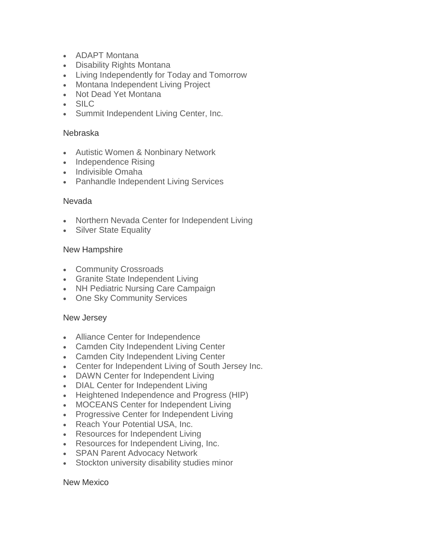- ADAPT Montana
- Disability Rights Montana
- Living Independently for Today and Tomorrow
- Montana Independent Living Project
- Not Dead Yet Montana
- SILC
- Summit Independent Living Center, Inc.

#### Nebraska

- Autistic Women & Nonbinary Network
- Independence Rising
- Indivisible Omaha
- Panhandle Independent Living Services

#### Nevada

- Northern Nevada Center for Independent Living
- Silver State Equality

#### New Hampshire

- Community Crossroads
- Granite State Independent Living
- NH Pediatric Nursing Care Campaign
- One Sky Community Services

### New Jersey

- Alliance Center for Independence
- Camden City Independent Living Center
- Camden City Independent Living Center
- Center for Independent Living of South Jersey Inc.
- DAWN Center for Independent Living
- DIAL Center for Independent Living
- Heightened Independence and Progress (HIP)
- MOCEANS Center for Independent Living
- Progressive Center for Independent Living
- Reach Your Potential USA, Inc.
- Resources for Independent Living
- Resources for Independent Living, Inc.
- SPAN Parent Advocacy Network
- Stockton university disability studies minor

#### New Mexico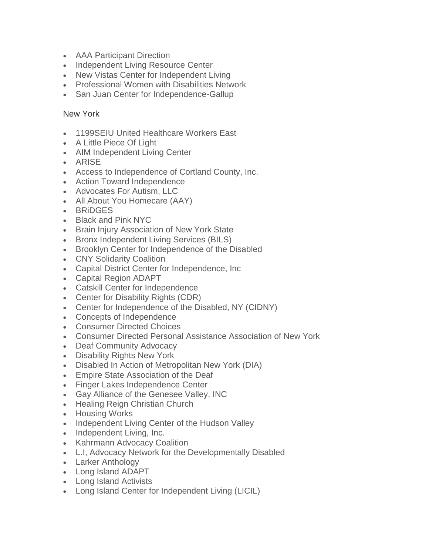- AAA Participant Direction
- Independent Living Resource Center
- New Vistas Center for Independent Living
- Professional Women with Disabilities Network
- San Juan Center for Independence-Gallup

## New York

- 1199SEIU United Healthcare Workers East
- A Little Piece Of Light
- AIM Independent Living Center
- ARISE
- Access to Independence of Cortland County, Inc.
- Action Toward Independence
- Advocates For Autism, LLC
- All About You Homecare (AAY)
- BRiDGES
- Black and Pink NYC
- Brain Injury Association of New York State
- Bronx Independent Living Services (BILS)
- Brooklyn Center for Independence of the Disabled
- CNY Solidarity Coalition
- Capital District Center for Independence, Inc
- Capital Region ADAPT
- Catskill Center for Independence
- Center for Disability Rights (CDR)
- Center for Independence of the Disabled, NY (CIDNY)
- Concepts of Independence
- Consumer Directed Choices
- Consumer Directed Personal Assistance Association of New York
- Deaf Community Advocacy
- Disability Rights New York
- Disabled In Action of Metropolitan New York (DIA)
- Empire State Association of the Deaf
- Finger Lakes Independence Center
- Gay Alliance of the Genesee Valley, INC
- Healing Reign Christian Church
- Housing Works
- Independent Living Center of the Hudson Valley
- Independent Living, Inc.
- Kahrmann Advocacy Coalition
- L.I, Advocacy Network for the Developmentally Disabled
- Larker Anthology
- Long Island ADAPT
- Long Island Activists
- Long Island Center for Independent Living (LICIL)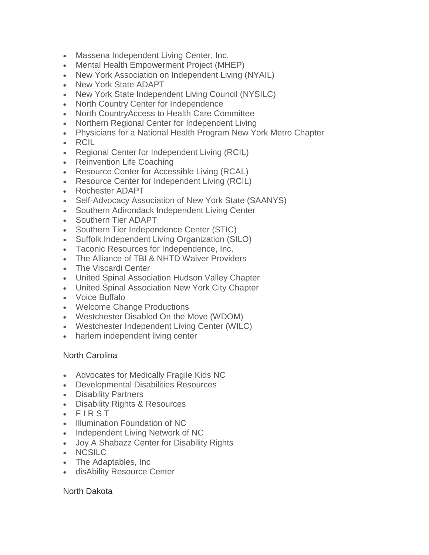- Massena Independent Living Center, Inc.
- Mental Health Empowerment Project (MHEP)
- New York Association on Independent Living (NYAIL)
- New York State ADAPT
- New York State Independent Living Council (NYSILC)
- North Country Center for Independence
- North CountryAccess to Health Care Committee
- Northern Regional Center for Independent Living
- Physicians for a National Health Program New York Metro Chapter
- RCIL
- Regional Center for Independent Living (RCIL)
- Reinvention Life Coaching
- Resource Center for Accessible Living (RCAL)
- Resource Center for Independent Living (RCIL)
- Rochester ADAPT
- Self-Advocacy Association of New York State (SAANYS)
- Southern Adirondack Independent Living Center
- Southern Tier ADAPT
- Southern Tier Independence Center (STIC)
- Suffolk Independent Living Organization (SILO)
- Taconic Resources for Independence, Inc.
- The Alliance of TBI & NHTD Waiver Providers
- The Viscardi Center
- United Spinal Association Hudson Valley Chapter
- United Spinal Association New York City Chapter
- Voice Buffalo
- Welcome Change Productions
- Westchester Disabled On the Move (WDOM)
- Westchester Independent Living Center (WILC)
- harlem independent living center

### North Carolina

- Advocates for Medically Fragile Kids NC
- Developmental Disabilities Resources
- Disability Partners
- Disability Rights & Resources
- F I R S T
- Illumination Foundation of NC
- Independent Living Network of NC
- Joy A Shabazz Center for Disability Rights
- NCSILC
- The Adaptables, Inc
- disAbility Resource Center

### North Dakota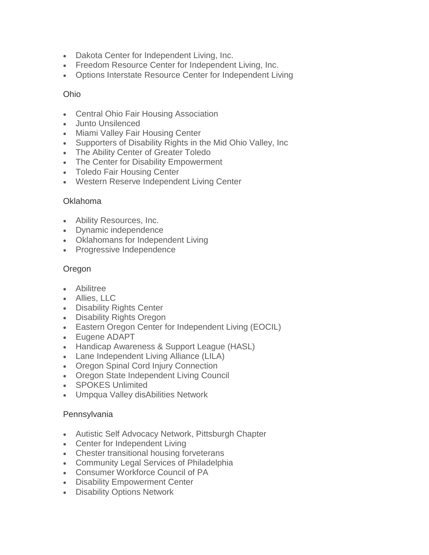- Dakota Center for Independent Living, Inc.
- Freedom Resource Center for Independent Living, Inc.
- Options Interstate Resource Center for Independent Living

### Ohio

- Central Ohio Fair Housing Association
- Junto Unsilenced
- Miami Valley Fair Housing Center
- Supporters of Disability Rights in the Mid Ohio Valley, Inc
- The Ability Center of Greater Toledo
- The Center for Disability Empowerment
- Toledo Fair Housing Center
- Western Reserve Independent Living Center

### Oklahoma

- Ability Resources, Inc.
- Dynamic independence
- Oklahomans for Independent Living
- Progressive Independence

## Oregon

- Abilitree
- Allies, LLC
- Disability Rights Center
- Disability Rights Oregon
- Eastern Oregon Center for Independent Living (EOCIL)
- Eugene ADAPT
- Handicap Awareness & Support League (HASL)
- Lane Independent Living Alliance (LILA)
- Oregon Spinal Cord Injury Connection
- Oregon State Independent Living Council
- SPOKES Unlimited
- Umpqua Valley disAbilities Network

### Pennsylvania

- Autistic Self Advocacy Network, Pittsburgh Chapter
- Center for Independent Living
- Chester transitional housing forveterans
- Community Legal Services of Philadelphia
- Consumer Workforce Council of PA
- Disability Empowerment Center
- Disability Options Network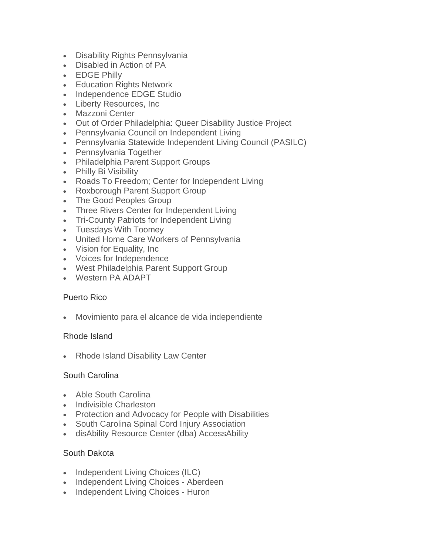- Disability Rights Pennsylvania
- Disabled in Action of PA
- EDGE Philly
- Education Rights Network
- Independence EDGE Studio
- Liberty Resources, Inc
- Mazzoni Center
- Out of Order Philadelphia: Queer Disability Justice Project
- Pennsylvania Council on Independent Living
- Pennsylvania Statewide Independent Living Council (PASILC)
- Pennsylvania Together
- Philadelphia Parent Support Groups
- Philly Bi Visibility
- Roads To Freedom; Center for Independent Living
- Roxborough Parent Support Group
- The Good Peoples Group
- Three Rivers Center for Independent Living
- Tri-County Patriots for Independent Living
- Tuesdays With Toomey
- United Home Care Workers of Pennsylvania
- Vision for Equality, Inc
- Voices for Independence
- West Philadelphia Parent Support Group
- Western PA ADAPT

### Puerto Rico

• Movimiento para el alcance de vida independiente

### Rhode Island

• Rhode Island Disability Law Center

### South Carolina

- Able South Carolina
- Indivisible Charleston
- Protection and Advocacy for People with Disabilities
- South Carolina Spinal Cord Injury Association
- disAbility Resource Center (dba) AccessAbility

# South Dakota

- Independent Living Choices (ILC)
- Independent Living Choices Aberdeen
- Independent Living Choices Huron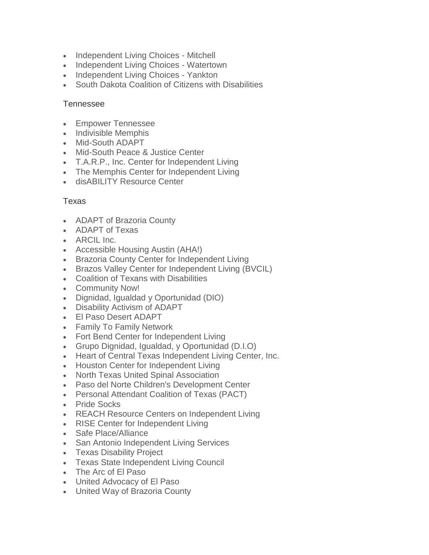- Independent Living Choices Mitchell
- Independent Living Choices Watertown
- Independent Living Choices Yankton
- South Dakota Coalition of Citizens with Disabilities

### **Tennessee**

- Empower Tennessee
- Indivisible Memphis
- Mid-South ADAPT
- Mid-South Peace & Justice Center
- T.A.R.P., Inc. Center for Independent Living
- The Memphis Center for Independent Living
- disABILITY Resource Center

## Texas

- ADAPT of Brazoria County
- ADAPT of Texas
- ARCIL Inc.
- Accessible Housing Austin (AHA!)
- Brazoria County Center for Independent Living
- Brazos Valley Center for Independent Living (BVCIL)
- Coalition of Texans with Disabilities
- Community Now!
- Dignidad, Igualdad y Oportunidad (DIO)
- Disability Activism of ADAPT
- El Paso Desert ADAPT
- Family To Family Network
- Fort Bend Center for Independent Living
- Grupo Dignidad, Igualdad, y Oportunidad (D.I.O)
- Heart of Central Texas Independent Living Center, Inc.
- Houston Center for Independent Living
- North Texas United Spinal Association
- Paso del Norte Children's Development Center
- Personal Attendant Coalition of Texas (PACT)
- Pride Socks
- REACH Resource Centers on Independent Living
- RISE Center for Independent Living
- Safe Place/Alliance
- San Antonio Independent Living Services
- Texas Disability Project
- Texas State Independent Living Council
- The Arc of El Paso
- United Advocacy of El Paso
- United Way of Brazoria County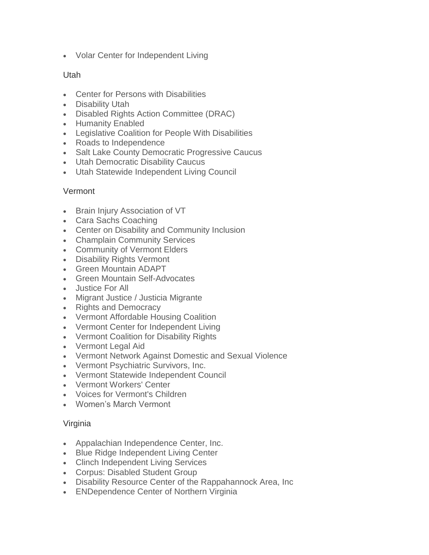• Volar Center for Independent Living

## Utah

- Center for Persons with Disabilities
- Disability Utah
- Disabled Rights Action Committee (DRAC)
- Humanity Enabled
- Legislative Coalition for People With Disabilities
- Roads to Independence
- Salt Lake County Democratic Progressive Caucus
- Utah Democratic Disability Caucus
- Utah Statewide Independent Living Council

### Vermont

- Brain Injury Association of VT
- Cara Sachs Coaching
- Center on Disability and Community Inclusion
- Champlain Community Services
- Community of Vermont Elders
- Disability Rights Vermont
- Green Mountain ADAPT
- Green Mountain Self-Advocates
- Justice For All
- Migrant Justice / Justicia Migrante
- Rights and Democracy
- Vermont Affordable Housing Coalition
- Vermont Center for Independent Living
- Vermont Coalition for Disability Rights
- Vermont Legal Aid
- Vermont Network Against Domestic and Sexual Violence
- Vermont Psychiatric Survivors, Inc.
- Vermont Statewide Independent Council
- Vermont Workers' Center
- Voices for Vermont's Children
- Women's March Vermont

### Virginia

- Appalachian Independence Center, Inc.
- Blue Ridge Independent Living Center
- Clinch Independent Living Services
- Corpus: Disabled Student Group
- Disability Resource Center of the Rappahannock Area, Inc
- ENDependence Center of Northern Virginia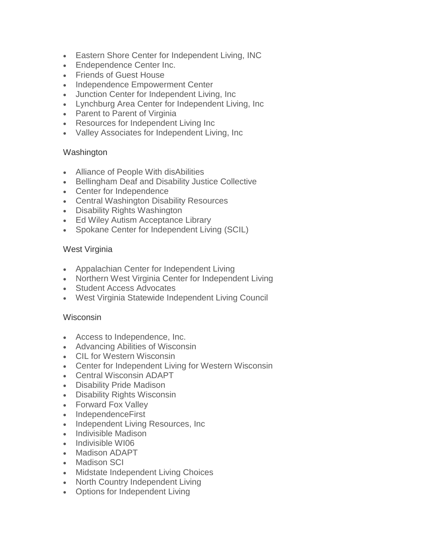- Eastern Shore Center for Independent Living, INC
- Endependence Center Inc.
- Friends of Guest House
- Independence Empowerment Center
- Junction Center for Independent Living, Inc
- Lynchburg Area Center for Independent Living, Inc
- Parent to Parent of Virginia
- Resources for Independent Living Inc
- Valley Associates for Independent Living, Inc

### **Washington**

- Alliance of People With disAbilities
- Bellingham Deaf and Disability Justice Collective
- Center for Independence
- Central Washington Disability Resources
- Disability Rights Washington
- Ed Wiley Autism Acceptance Library
- Spokane Center for Independent Living (SCIL)

## West Virginia

- Appalachian Center for Independent Living
- Northern West Virginia Center for Independent Living
- Student Access Advocates
- West Virginia Statewide Independent Living Council

### Wisconsin

- Access to Independence, Inc.
- Advancing Abilities of Wisconsin
- CIL for Western Wisconsin
- Center for Independent Living for Western Wisconsin
- Central Wisconsin ADAPT
- Disability Pride Madison
- Disability Rights Wisconsin
- Forward Fox Valley
- IndependenceFirst
- Independent Living Resources, Inc
- Indivisible Madison
- Indivisible WI06
- Madison ADAPT
- Madison SCI
- Midstate Independent Living Choices
- North Country Independent Living
- Options for Independent Living